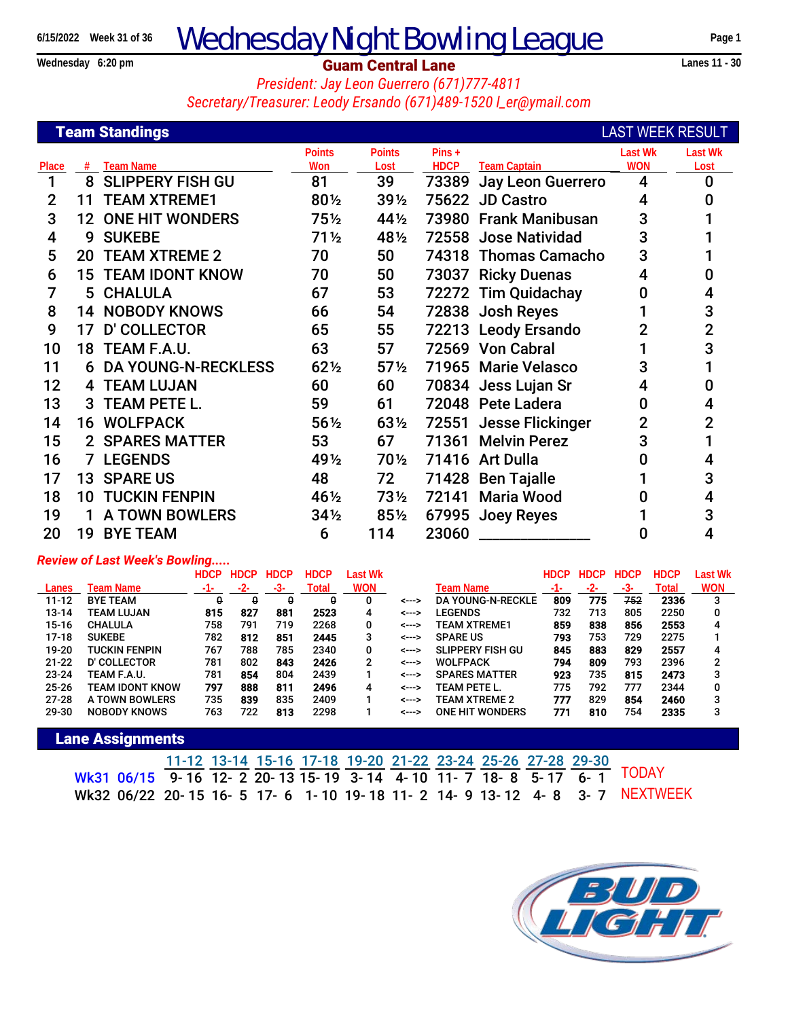# **Example 2015/2022** Week 31 of 36 **Wednesday Night Bowling League** Page 1<br> **Guam Central Lane** Lane

### **Guam Central Lane**

*President: Jay Leon Guerrero (671)777-4811 Secretary/Treasurer: Leody Ersando (671)489-1520 l\_er@ymail.com*

|                |    | <b>Team Standings</b>        |                 |                 |             |                        | <b>LAST WEEK RESULT</b> |                |
|----------------|----|------------------------------|-----------------|-----------------|-------------|------------------------|-------------------------|----------------|
|                |    |                              | <b>Points</b>   | <b>Points</b>   | $Pins +$    |                        | <b>Last Wk</b>          | <b>Last Wk</b> |
| Place          | #  | <b>Team Name</b>             | Won             | Lost            | <b>HDCP</b> | <b>Team Captain</b>    | <b>WON</b>              | Lost           |
| 1              | 8  | <b>SLIPPERY FISH GU</b>      | 81              | 39              | 73389       | Jay Leon Guerrero      | 4                       | $\bf{0}$       |
| $\overline{2}$ | 11 | <b>TEAM XTREME1</b>          | 80½             | 391/2           |             | 75622 JD Castro        | 4                       | 0              |
| 3              |    | <b>12 ONE HIT WONDERS</b>    | $75\frac{1}{2}$ | 44½             |             | 73980 Frank Manibusan  | 3                       |                |
| 4              | 9  | <b>SUKEBE</b>                | $71\frac{1}{2}$ | 481/2           |             | 72558 Jose Natividad   | 3                       |                |
| 5              |    | <b>20 TEAM XTREME 2</b>      | 70              | 50              |             | 74318 Thomas Camacho   | 3                       |                |
| 6              |    | <b>15 TEAM IDONT KNOW</b>    | 70              | 50              |             | 73037 Ricky Duenas     | 4                       | O              |
| 7              |    | 5 CHALULA                    | 67              | 53              |             | 72272 Tim Quidachay    | 0                       | 4              |
| 8              |    | <b>14 NOBODY KNOWS</b>       | 66              | 54              |             | 72838 Josh Reyes       |                         | 3              |
| 9              | 17 | <b>D' COLLECTOR</b>          | 65              | 55              |             | 72213 Leody Ersando    | $\overline{2}$          | $\overline{2}$ |
| 10             |    | 18 TEAM F.A.U.               | 63              | 57              |             | 72569 Von Cabral       |                         | 3              |
| 11             |    | <b>6 DA YOUNG-N-RECKLESS</b> | $62\frac{1}{2}$ | $57\frac{1}{2}$ |             | 71965 Marie Velasco    | 3                       |                |
| 12             |    | <b>4 TEAM LUJAN</b>          | 60              | 60              |             | 70834 Jess Lujan Sr    | 4                       | 0              |
| 13             |    | 3 TEAM PETE L.               | 59              | 61              |             | 72048 Pete Ladera      | 0                       | 4              |
| 14             |    | <b>16 WOLFPACK</b>           | $56\%$          | $63\frac{1}{2}$ |             | 72551 Jesse Flickinger | $\overline{2}$          | $\overline{2}$ |
| 15             |    | 2 SPARES MATTER              | 53              | 67              |             | 71361 Melvin Perez     | 3                       |                |
| 16             |    | <b>7 LEGENDS</b>             | 491/2           | 70½             |             | 71416 Art Dulla        |                         | 4              |
| 17             |    | <b>13 SPARE US</b>           | 48              | 72              |             | 71428 Ben Tajalle      |                         | 3              |
| 18             |    | <b>10 TUCKIN FENPIN</b>      | 46½             | $73\frac{1}{2}$ | 72141       | <b>Maria Wood</b>      | O                       | 4              |
| 19             |    | <b>A TOWN BOWLERS</b>        | $34\frac{1}{2}$ | $85\%$          |             | 67995 Joey Reyes       |                         | 3              |
| 20             |    | <b>19 BYE TEAM</b>           | 6               | 114             | 23060       |                        | 0                       | 4              |
|                |    |                              |                 |                 |             |                        |                         |                |

### *Review of Last Week's Bowling.....*

|           |                      | <b>HDCP</b> |     | <b>HDCP</b> | <b>HDCP</b> | Last Wk    |       |                          | <b>HDCP</b> |     | <b>HDCP</b> | <b>HDCP</b> | Last Wk    |
|-----------|----------------------|-------------|-----|-------------|-------------|------------|-------|--------------------------|-------------|-----|-------------|-------------|------------|
| Lanes     | Team Name            | $-1-$       | -2- | -3-         | Total       | <b>WON</b> |       | Team Name                | $-1-$       | -2- | -3-         | Total       | <b>WON</b> |
| $11 - 12$ | <b>BYE TEAM</b>      | 0           | 0   | 0           | 0           |            | <---> | <b>DA YOUNG-N-RECKLE</b> | 809         | 775 | 752         | 2336        | 3          |
| $13 - 14$ | TEAM LUJAN           | 815         | 827 | 881         | 2523        | 4          | <---> | <b>LEGENDS</b>           | 732         | 713 | 805         | 2250        |            |
| $15 - 16$ | <b>CHALULA</b>       | 758         | 791 | 719         | 2268        | 0          | <---> | <b>TEAM XTREME1</b>      | 859         | 838 | 856         | 2553        | 4          |
| $17 - 18$ | <b>SUKEBE</b>        | 782         | 812 | 851         | 2445        | 3          | <---> | <b>SPARE US</b>          | 793         | 753 | 729         | 2275        |            |
| 19-20     | <b>TUCKIN FENPIN</b> | 767         | 788 | 785         | 2340        | 0          | <---> | SLIPPERY FISH GU         | 845         | 883 | 829         | 2557        | 4          |
| $21 - 22$ | D' COLLECTOR         | 781         | 802 | 843         | 2426        | 2          | <---> | <b>WOLFPACK</b>          | 794         | 809 | 793         | 2396        | 2          |
| $23 - 24$ | TEAM F.A.U.          | 781         | 854 | 804         | 2439        |            | <---> | <b>SPARES MATTER</b>     | 923         | 735 | 815         | 2473        |            |
| $25 - 26$ | TEAM IDONT KNOW      | 797         | 888 | 811         | 2496        | 4          | <---> | TEAM PETE L.             | 775         | 792 | 777         | 2344        |            |
| $27 - 28$ | A TOWN BOWLERS       | 735         | 839 | 835         | 2409        |            | <---> | <b>TEAM XTREME 2</b>     | 777         | 829 | 854         | 2460        | з          |
| 29-30     | <b>NOBODY KNOWS</b>  | 763         | 722 | 813         | 2298        |            | <---> | <b>ONE HIT WONDERS</b>   | 771         | 810 | 754         | 2335        |            |

### **Lane Assignments**

11-12 13-14 15-16 17-18 19-20 21-22 23-24 25-26 27-28 29-30 Wk31 06/15 9-16 12-2 20-13 15-19 3-14 4-10 11-7 18-8 5-17 6-1 Wk32 06/22 20- 15 16- 5 17- 6 1- 10 19- 18 11- 2 14- 9 13- 12 4- 8 3- 7 TODAY NEXTWEEK

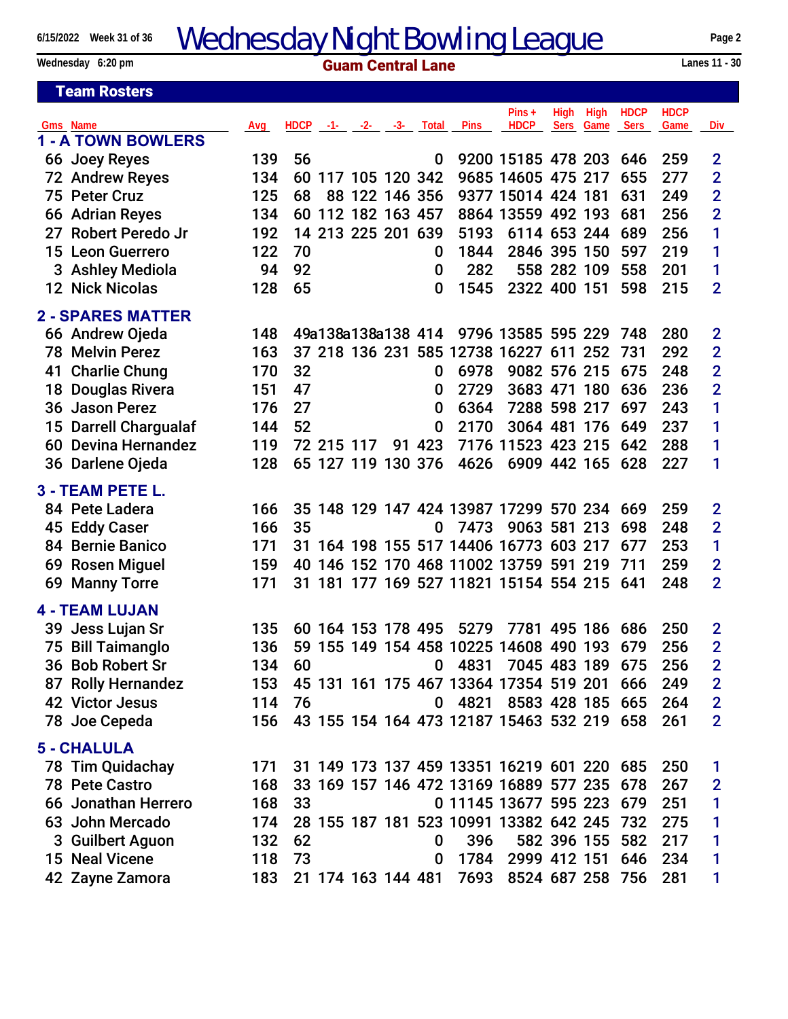15 Neal Vicene 118 73 0 1784 2999 412 151 646 234 1 42 Zayne Zamora 183 21 174 163 144 481 7693 8524 687 258 756 281 1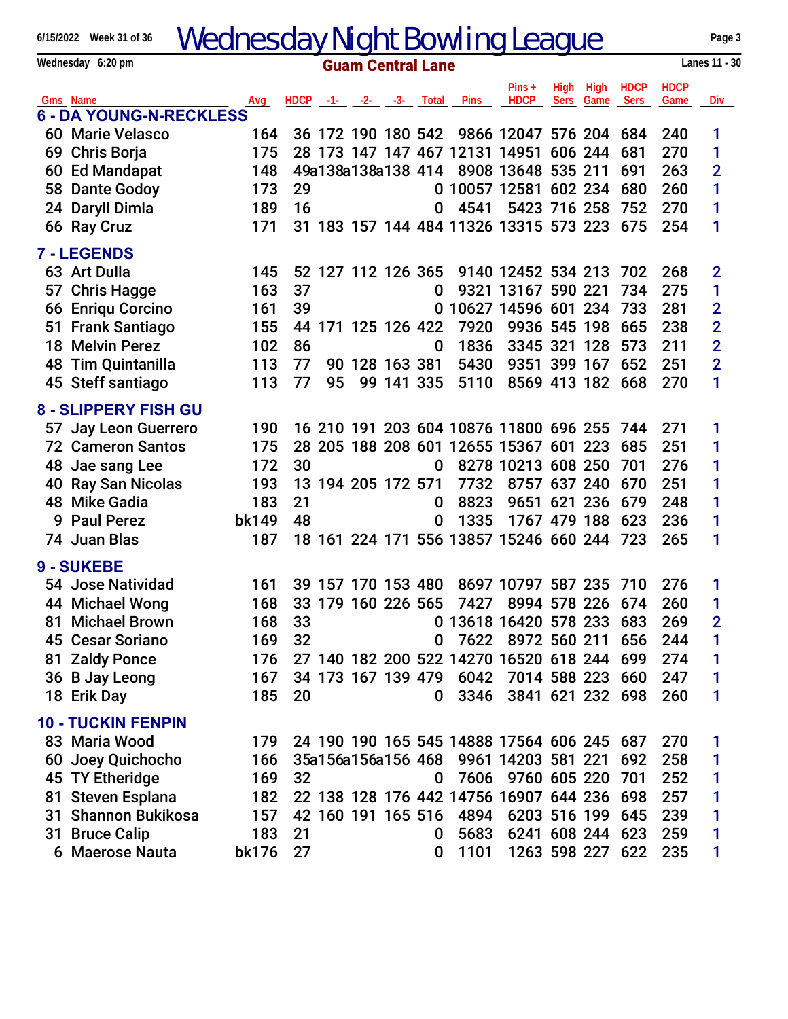| <b>Wednesday Night Bowling League</b><br>6/15/2022 Week 31 of 36 |                                            |       |                             |    |  |                    |                    |                                            | Page 3             |             |      |             |             |                |
|------------------------------------------------------------------|--------------------------------------------|-------|-----------------------------|----|--|--------------------|--------------------|--------------------------------------------|--------------------|-------------|------|-------------|-------------|----------------|
| Lanes 11 - 30<br>Wednesday 6:20 pm<br><b>Guam Central Lane</b>   |                                            |       |                             |    |  |                    |                    |                                            |                    |             |      |             |             |                |
|                                                                  |                                            |       |                             |    |  |                    |                    |                                            | $Pins +$           | <b>High</b> | High | <b>HDCP</b> | <b>HDCP</b> |                |
|                                                                  | Gms Name<br><b>6 - DA YOUNG-N-RECKLESS</b> | Avg   | $HDCP -1 - -2 - -3 - Total$ |    |  |                    |                    | Pins                                       | <b>HDCP</b>        | <b>Sers</b> | Game | Sers        | Game        | <b>Div</b>     |
|                                                                  | 60 Marie Velasco                           | 164   |                             |    |  |                    |                    | 36 172 190 180 542 9866 12047 576 204      |                    |             |      | 684         | 240         | 1              |
|                                                                  | 69 Chris Borja                             | 175   |                             |    |  |                    |                    | 28 173 147 147 467 12131 14951 606 244     |                    |             |      | 681         | 270         | 1              |
|                                                                  | 60 Ed Mandapat                             | 148   |                             |    |  |                    |                    | 49a138a138a138 414 8908 13648 535 211      |                    |             |      | 691         | 263         | $\overline{2}$ |
|                                                                  | 58 Dante Godoy                             | 173   | 29                          |    |  |                    |                    | 0 10057 12581 602 234                      |                    |             |      | 680         | 260         | 1              |
|                                                                  | 24 Daryll Dimla                            | 189   | 16                          |    |  |                    | 0                  | 4541                                       | 5423 716 258       |             |      | 752         | 270         | 1              |
|                                                                  | 66 Ray Cruz                                | 171   |                             |    |  |                    |                    | 31 183 157 144 484 11326 13315 573 223     |                    |             |      | 675         | 254         | 1              |
|                                                                  | 7 - LEGENDS                                |       |                             |    |  |                    |                    |                                            |                    |             |      |             |             |                |
|                                                                  | 63 Art Dulla                               | 145   |                             |    |  |                    | 52 127 112 126 365 |                                            | 9140 12452 534 213 |             |      | 702         | 268         | $\overline{2}$ |
| 57                                                               | <b>Chris Hagge</b>                         | 163   | 37                          |    |  |                    | 0                  |                                            | 9321 13167 590 221 |             |      | 734         | 275         | 1              |
|                                                                  | 66 Enriqu Corcino                          | 161   | 39                          |    |  |                    |                    | 0 10627 14596 601 234                      |                    |             |      | 733         | 281         | $\overline{2}$ |
|                                                                  | 51 Frank Santiago                          | 155   |                             |    |  |                    | 44 171 125 126 422 | 7920                                       | 9936 545 198       |             |      | 665         | 238         | $\overline{2}$ |
|                                                                  | <b>18 Melvin Perez</b>                     | 102   | 86                          |    |  |                    | 0                  | 1836                                       | 3345 321 128       |             |      | 573         | 211         | $\overline{2}$ |
|                                                                  | <b>48 Tim Quintanilla</b>                  | 113   | 77                          |    |  | 90 128 163 381     |                    | 5430                                       | 9351 399 167       |             |      | 652         | 251         | $\overline{2}$ |
|                                                                  | 45 Steff santiago                          | 113   | 77                          | 95 |  |                    | 99 141 335         | 5110                                       | 8569 413 182 668   |             |      |             | 270         | 1              |
|                                                                  | <b>8 - SLIPPERY FISH GU</b>                |       |                             |    |  |                    |                    |                                            |                    |             |      |             |             |                |
|                                                                  | 57 Jay Leon Guerrero                       | 190   |                             |    |  |                    |                    | 16 210 191 203 604 10876 11800 696 255     |                    |             |      | 744         | 271         | 1              |
|                                                                  | <b>72 Cameron Santos</b>                   | 175   |                             |    |  |                    |                    | 28 205 188 208 601 12655 15367 601 223     |                    |             |      | 685         | 251         | 1              |
|                                                                  | 48 Jae sang Lee                            | 172   | 30                          |    |  |                    | 0                  |                                            | 8278 10213 608 250 |             |      | 701         | 276         | 1              |
|                                                                  | 40 Ray San Nicolas                         | 193   |                             |    |  | 13 194 205 172 571 |                    | 7732                                       | 8757 637 240       |             |      | 670         | 251         | 1              |
|                                                                  | 48 Mike Gadia                              | 183   | 21                          |    |  |                    | 0                  | 8823                                       | 9651 621 236       |             |      | 679         | 248         | 1              |
|                                                                  | 9 Paul Perez                               | bk149 | 48                          |    |  |                    | 0                  | 1335                                       | 1767 479 188       |             |      | 623         | 236         | 1              |
|                                                                  | 74 Juan Blas                               | 187   |                             |    |  |                    |                    | 18 161 224 171 556 13857 15246 660 244     |                    |             |      | 723         | 265         | 1              |
|                                                                  | 9 - SUKEBE                                 |       |                             |    |  |                    |                    |                                            |                    |             |      |             |             |                |
|                                                                  | 54 Jose Natividad                          | 161   |                             |    |  |                    | 39 157 170 153 480 |                                            | 8697 10797 587 235 |             |      | 710         | 276         | 1              |
|                                                                  | 44 Michael Wong                            | 168   |                             |    |  |                    |                    | 33 179 160 226 565 7427 8994 578 226 674   |                    |             |      |             | 260         | 1              |
|                                                                  | 81 Michael Brown                           | 168   | 33                          |    |  |                    |                    | 0 13618 16420 578 233                      |                    |             |      | 683         | 269         | $\overline{2}$ |
|                                                                  | 45 Cesar Soriano                           | 169   | 32                          |    |  |                    | $\bf{0}$           |                                            | 7622 8972 560 211  |             |      | 656         | 244         | 1              |
|                                                                  | 81 Zaldy Ponce                             | 176   |                             |    |  |                    |                    | 27 140 182 200 522 14270 16520 618 244     |                    |             |      | 699         | 274         | 1              |
|                                                                  | 36 B Jay Leong                             | 167   |                             |    |  |                    |                    | 34 173 167 139 479 6042                    | 7014 588 223 660   |             |      |             | 247         | 1              |
|                                                                  | 18 Erik Day                                | 185   | 20                          |    |  |                    | 0                  | 3346                                       | 3841 621 232 698   |             |      |             | 260         | 1              |
|                                                                  | <b>10 - TUCKIN FENPIN</b>                  |       |                             |    |  |                    |                    |                                            |                    |             |      |             |             |                |
|                                                                  | 83 Maria Wood                              | 179   |                             |    |  |                    |                    | 24 190 190 165 545 14888 17564 606 245 687 |                    |             |      |             | 270         | 1              |
| 60                                                               | Joey Quichocho                             | 166   |                             |    |  |                    |                    | 35a156a156a156 468 9961 14203 581 221      |                    |             |      | 692         | 258         | 1              |
|                                                                  | 45 TY Etheridge                            | 169   | 32                          |    |  |                    | $\bf{0}$           | 7606                                       | 9760 605 220       |             |      | 701         | 252         | 1              |
| 81                                                               | <b>Steven Esplana</b>                      | 182   |                             |    |  |                    |                    | 22 138 128 176 442 14756 16907 644 236 698 |                    |             |      |             | 257         | 1              |
|                                                                  | 31 Shannon Bukikosa                        | 157   |                             |    |  |                    | 42 160 191 165 516 | 4894                                       | 6203 516 199       |             |      | 645         | 239         | 1              |
|                                                                  | 31 Bruce Calip                             | 183   | 21                          |    |  |                    | 0                  | 5683                                       | 6241 608 244 623   |             |      |             | 259         | 1              |
|                                                                  | 6 Maerose Nauta                            | bk176 | 27                          |    |  |                    | 0                  | 1101                                       | 1263 598 227 622   |             |      |             | 235         | 1              |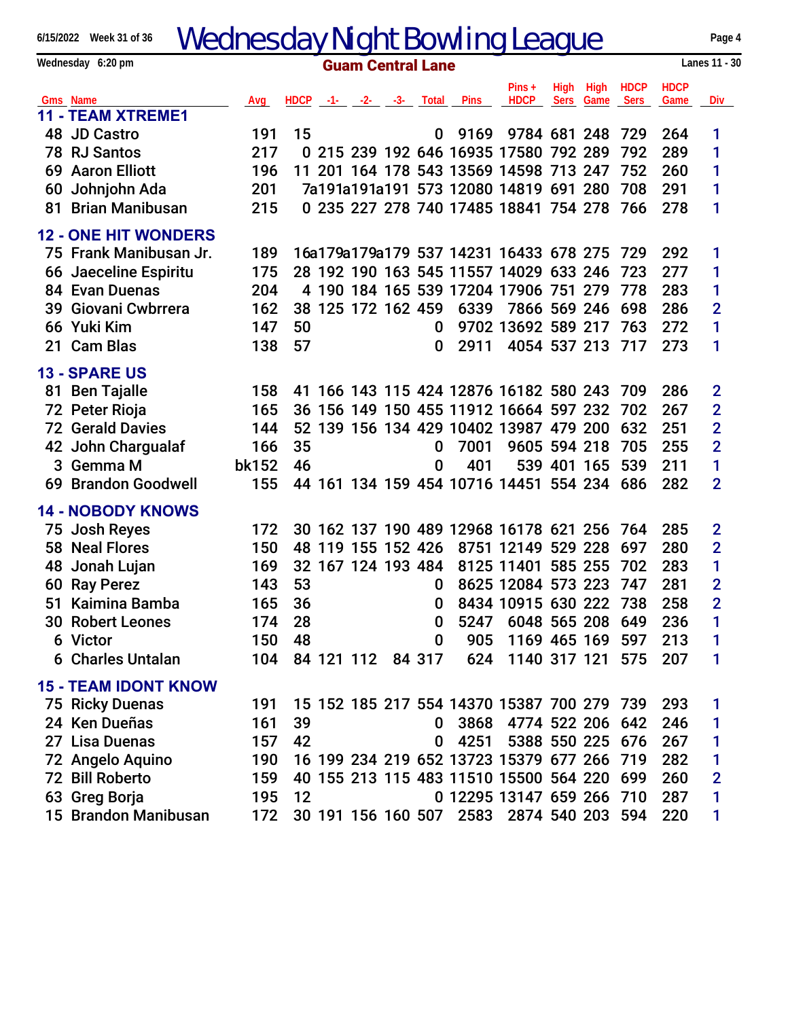| <b>Wednesday Night Bowling League</b><br>6/15/2022 Week 31 of 36 |                                           |            |                          |  |  |                    |          |                                            | Page 4                 |             |             |               |             |                |
|------------------------------------------------------------------|-------------------------------------------|------------|--------------------------|--|--|--------------------|----------|--------------------------------------------|------------------------|-------------|-------------|---------------|-------------|----------------|
|                                                                  | Wednesday 6:20 pm                         |            | <b>Guam Central Lane</b> |  |  |                    |          |                                            |                        |             |             | Lanes 11 - 30 |             |                |
|                                                                  |                                           |            |                          |  |  |                    |          |                                            | $Pins +$               | High        | High        | <b>HDCP</b>   | <b>HDCP</b> |                |
|                                                                  | Gms Name                                  | Avg        |                          |  |  |                    |          | HDCP -1- -2- -3- Total Pins                | <b>HDCP</b>            | <b>Sers</b> | Game        | Sers          | Game        | Div            |
|                                                                  | <b>11 - TEAM XTREME1</b>                  |            |                          |  |  |                    |          | 9169                                       | 9784 681 248           |             |             |               |             |                |
|                                                                  | 48 JD Castro<br>78 RJ Santos              | 191<br>217 | 15                       |  |  |                    | 0        | 0 215 239 192 646 16935 17580 792 289      |                        |             |             | 729<br>792    | 264<br>289  | 1<br>1         |
|                                                                  | <b>69 Aaron Elliott</b>                   | 196        |                          |  |  |                    |          | 11 201 164 178 543 13569 14598 713 247     |                        |             |             | 752           | 260         | 1              |
|                                                                  |                                           | 201        |                          |  |  |                    |          | 7a191a191a191 573 12080 14819 691 280      |                        |             |             | 708           | 291         | 1              |
| 81                                                               | 60 Johnjohn Ada<br><b>Brian Manibusan</b> | 215        |                          |  |  |                    |          | 0 235 227 278 740 17485 18841 754 278 766  |                        |             |             |               | 278         | 1              |
|                                                                  |                                           |            |                          |  |  |                    |          |                                            |                        |             |             |               |             |                |
|                                                                  | <b>12 - ONE HIT WONDERS</b>               |            |                          |  |  |                    |          |                                            |                        |             |             |               |             |                |
|                                                                  | 75 Frank Manibusan Jr.                    | 189        |                          |  |  |                    |          | 16a179a179a179 537 14231 16433 678 275     |                        |             |             | 729           | 292         | 1              |
|                                                                  | 66 Jaeceline Espiritu                     | 175        |                          |  |  |                    |          | 28 192 190 163 545 11557 14029 633 246     |                        |             |             | 723           | 277         | 1              |
|                                                                  | 84 Evan Duenas                            | 204        |                          |  |  |                    |          | 4 190 184 165 539 17204 17906 751 279      |                        |             |             | 778           | 283         | 1              |
|                                                                  | 39 Giovani Cwbrrera                       | 162        |                          |  |  | 38 125 172 162 459 |          | 6339                                       | 7866 569 246           |             |             | 698           | 286         | $\overline{2}$ |
|                                                                  | 66 Yuki Kim                               | 147        | 50                       |  |  |                    | 0        |                                            | 9702 13692 589 217     |             |             | 763           | 272         | 1              |
|                                                                  | 21 Cam Blas                               | 138        | 57                       |  |  |                    | 0        | 2911                                       | 4054 537 213 717       |             |             |               | 273         | 1              |
|                                                                  | <b>13 - SPARE US</b>                      |            |                          |  |  |                    |          |                                            |                        |             |             |               |             |                |
|                                                                  | 81 Ben Tajalle                            | 158        |                          |  |  |                    |          | 41 166 143 115 424 12876 16182 580 243     |                        |             |             | -709          | 286         | $\overline{2}$ |
|                                                                  | 72 Peter Rioja                            | 165        |                          |  |  |                    |          | 36 156 149 150 455 11912 16664 597 232     |                        |             |             | 702           | 267         | $\overline{2}$ |
|                                                                  | <b>72 Gerald Davies</b>                   | 144        |                          |  |  |                    |          | 52 139 156 134 429 10402 13987 479 200     |                        |             |             | 632           | 251         | $\overline{2}$ |
|                                                                  | 42 John Chargualaf                        | 166        | 35                       |  |  |                    | 0        | 7001                                       | 9605 594 218           |             |             | 705           | 255         | $\overline{2}$ |
|                                                                  | 3 Gemma M                                 | bk152      | 46                       |  |  |                    | 0        | 401                                        |                        |             | 539 401 165 | 539           | 211         | 1              |
|                                                                  | 69 Brandon Goodwell                       | 155        |                          |  |  |                    |          | 44 161 134 159 454 10716 14451 554 234 686 |                        |             |             |               | 282         | $\overline{2}$ |
|                                                                  |                                           |            |                          |  |  |                    |          |                                            |                        |             |             |               |             |                |
|                                                                  | <b>14 - NOBODY KNOWS</b>                  |            |                          |  |  |                    |          |                                            |                        |             |             |               |             |                |
|                                                                  | 75 Josh Reyes                             | 172        |                          |  |  |                    |          | 30 162 137 190 489 12968 16178 621 256     |                        |             |             | 764           | 285         | $\overline{2}$ |
|                                                                  | 58 Neal Flores                            | 150        | 48                       |  |  | 119 155 152 426    |          |                                            | 8751 12149             |             | 529 228     | 697           | 280         | $\overline{2}$ |
|                                                                  | 48 Jonah Lujan                            | 169        |                          |  |  | 32 167 124 193 484 |          |                                            | 8125 11401             |             | 585 255     | 702           | 283         | 1              |
|                                                                  | 60 Ray Perez                              | 143        | 53                       |  |  |                    | 0        |                                            | 8625 12084 573 223 747 |             |             |               | 281         | $\overline{2}$ |
|                                                                  | 51 Kaimina Bamba                          | 165        | 36                       |  |  |                    | U        |                                            | 8434 10915 630 222 738 |             |             |               | 258         | $\overline{2}$ |
|                                                                  | <b>30 Robert Leones</b>                   | 174        | 28                       |  |  |                    | 0        | 5247                                       | 6048 565 208 649       |             |             |               | 236         | 1              |
|                                                                  | 6 Victor                                  | 150        | 48                       |  |  |                    | 0        | 905                                        | 1169 465 169           |             |             | 597           | 213         | 1              |
|                                                                  | <b>6 Charles Untalan</b>                  | 104        |                          |  |  | 84 121 112 84 317  |          | 624                                        | 1140 317 121           |             |             | 575           | 207         | 1              |
|                                                                  | <b>15 - TEAM IDONT KNOW</b>               |            |                          |  |  |                    |          |                                            |                        |             |             |               |             |                |
|                                                                  | 75 Ricky Duenas                           | 191        |                          |  |  |                    |          | 15 152 185 217 554 14370 15387 700 279 739 |                        |             |             |               | 293         | 1              |
|                                                                  | 24 Ken Dueñas                             | 161        | 39                       |  |  |                    | $\bf{0}$ |                                            | 3868 4774 522 206 642  |             |             |               | 246         | 1              |
|                                                                  | 27 Lisa Duenas                            | 157        | 42                       |  |  |                    | 0        | 4251                                       | 5388 550 225 676       |             |             |               | 267         | 1              |
|                                                                  | 72 Angelo Aquino                          | 190        |                          |  |  |                    |          | 16 199 234 219 652 13723 15379 677 266 719 |                        |             |             |               | 282         | 1              |
|                                                                  | 72 Bill Roberto                           | 159        |                          |  |  |                    |          | 40 155 213 115 483 11510 15500 564 220 699 |                        |             |             |               | 260         | $\overline{2}$ |
|                                                                  | 63 Greg Borja                             | 195        | 12                       |  |  |                    |          | 0 12295 13147 659 266 710                  |                        |             |             |               | 287         | 1              |
|                                                                  | 15 Brandon Manibusan                      | 172        |                          |  |  |                    |          | 30 191 156 160 507 2583 2874 540 203 594   |                        |             |             |               | 220         | 1              |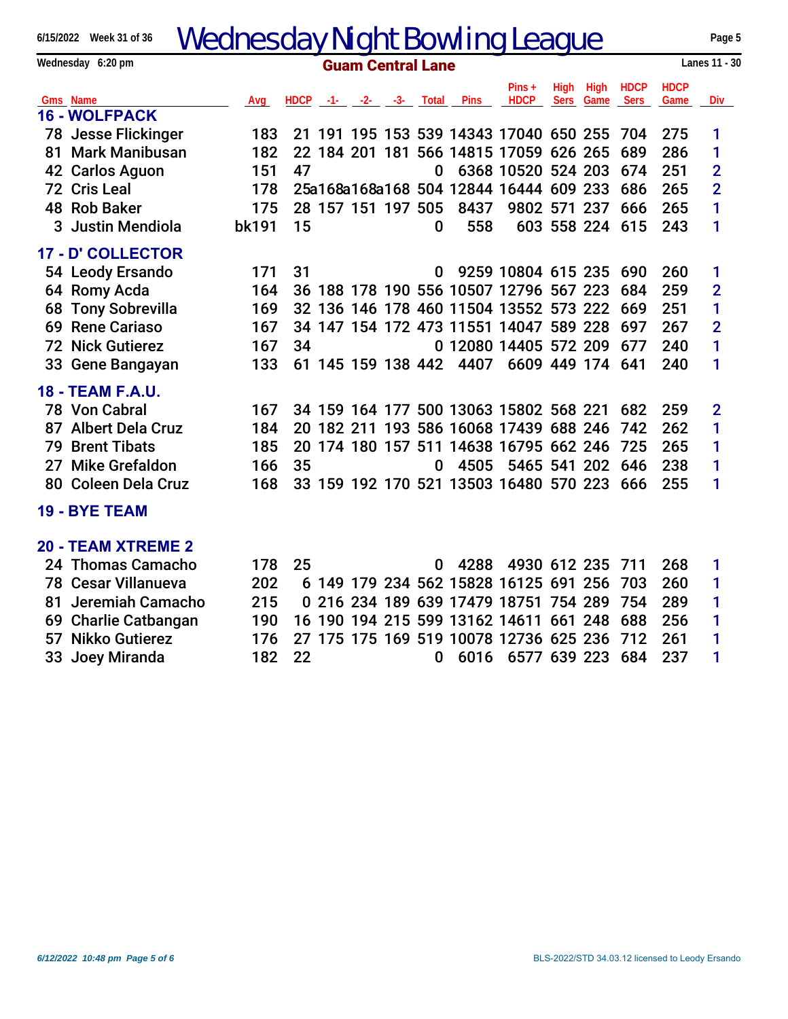## 6/15/2022 Week 31 of 36 Wednesday Night Bowling League **Page 5** Page 5

| 6/15/2022 Week 31 of 36<br>wednesday night Bowling League |                                  |                          |    |  |                    |  |          |                                            | Page 5             |             |                 |               |             |                |
|-----------------------------------------------------------|----------------------------------|--------------------------|----|--|--------------------|--|----------|--------------------------------------------|--------------------|-------------|-----------------|---------------|-------------|----------------|
|                                                           | Wednesday 6:20 pm                | <b>Guam Central Lane</b> |    |  |                    |  |          |                                            |                    |             |                 | Lanes 11 - 30 |             |                |
|                                                           |                                  |                          |    |  |                    |  |          |                                            | $Pins +$           | <b>High</b> | High            | <b>HDCP</b>   | <b>HDCP</b> |                |
|                                                           | Gms Name<br><b>16 - WOLFPACK</b> | Avg                      |    |  |                    |  |          | HDCP -1- -2- -3- Total Pins                | <b>HDCP</b>        | Sers        | Game            | Sers          | Game        | <b>Div</b>     |
|                                                           | 78 Jesse Flickinger              | 183                      |    |  |                    |  |          | 21 191 195 153 539 14343 17040 650 255 704 |                    |             |                 |               | 275         | 1              |
|                                                           | 81 Mark Manibusan                | 182                      |    |  |                    |  |          | 22 184 201 181 566 14815 17059 626 265     |                    |             |                 | 689           | 286         | 1              |
|                                                           | 42 Carlos Aguon                  | 151                      | 47 |  |                    |  | $\bf{0}$ |                                            | 6368 10520 524 203 |             |                 | 674           | 251         | $\overline{2}$ |
|                                                           | 72 Cris Leal                     | 178                      |    |  |                    |  |          | 25a168a168a168 504 12844 16444 609 233     |                    |             |                 | 686           | 265         | $\overline{2}$ |
|                                                           | 48 Rob Baker                     | 175                      |    |  | 28 157 151 197 505 |  |          | 8437                                       | 9802 571 237       |             |                 | 666           | 265         | 1              |
|                                                           |                                  |                          |    |  |                    |  |          |                                            |                    |             |                 |               |             |                |
|                                                           | 3 Justin Mendiola                | bk191                    | 15 |  |                    |  | $\bf{0}$ | 558                                        |                    |             | 603 558 224 615 |               | 243         | 1              |
|                                                           | 17 - D' COLLECTOR                |                          |    |  |                    |  |          |                                            |                    |             |                 |               |             |                |
|                                                           | 54 Leody Ersando                 | 171                      | 31 |  |                    |  | 0        |                                            | 9259 10804 615 235 |             |                 | 690           | 260         | 1              |
|                                                           | 64 Romy Acda                     | 164                      |    |  |                    |  |          | 36 188 178 190 556 10507 12796 567 223     |                    |             |                 | 684           | 259         | $\overline{2}$ |
| 68                                                        | <b>Tony Sobrevilla</b>           | 169                      |    |  |                    |  |          | 32 136 146 178 460 11504 13552 573 222     |                    |             |                 | 669           | 251         | 1              |
|                                                           | 69 Rene Cariaso                  | 167                      |    |  |                    |  |          | 34 147 154 172 473 11551 14047 589 228     |                    |             |                 | 697           | 267         | $\overline{2}$ |
|                                                           | <b>72 Nick Gutierez</b>          | 167                      | 34 |  |                    |  |          | 0 12080 14405 572 209                      |                    |             |                 | 677           | 240         | 1              |
|                                                           | 33 Gene Bangayan                 | 133                      |    |  |                    |  |          | 61 145 159 138 442 4407                    | 6609 449 174       |             |                 | 641           | 240         | 1              |
|                                                           | <b>18 - TEAM F.A.U.</b>          |                          |    |  |                    |  |          |                                            |                    |             |                 |               |             |                |
|                                                           | 78 Von Cabral                    | 167                      |    |  |                    |  |          | 34 159 164 177 500 13063 15802 568 221     |                    |             |                 | 682           | 259         | $\overline{2}$ |
|                                                           | 87 Albert Dela Cruz              | 184                      |    |  |                    |  |          | 20 182 211 193 586 16068 17439 688 246     |                    |             |                 | 742           | 262         | 1              |
|                                                           | 79 Brent Tibats                  | 185                      |    |  |                    |  |          | 20 174 180 157 511 14638 16795 662 246     |                    |             |                 | 725           | 265         | 1              |
|                                                           | 27 Mike Grefaldon                | 166                      | 35 |  |                    |  | O.       |                                            | 4505 5465 541 202  |             |                 | 646           | 238         | 1              |
|                                                           | 80 Coleen Dela Cruz              | 168                      |    |  |                    |  |          | 33 159 192 170 521 13503 16480 570 223 666 |                    |             |                 |               | 255         | 1              |
|                                                           | <b>19 - BYE TEAM</b>             |                          |    |  |                    |  |          |                                            |                    |             |                 |               |             |                |
|                                                           | <b>20 - TEAM XTREME 2</b>        |                          |    |  |                    |  |          |                                            |                    |             |                 |               |             |                |
|                                                           | 24 Thomas Camacho                | 178                      | 25 |  |                    |  | 0        | 4288                                       | 4930 612 235       |             |                 | 711           | 268         | 1              |
|                                                           | <b>78 Cesar Villanueva</b>       | 202                      |    |  |                    |  |          | 6 149 179 234 562 15828 16125 691 256      |                    |             |                 | 703           | 260         | 1              |
| 81                                                        | Jeremiah Camacho                 | 215                      |    |  |                    |  |          | 0 216 234 189 639 17479 18751 754 289      |                    |             |                 | 754           | 289         | 1              |
|                                                           | 69 Charlie Catbangan             | 190                      |    |  |                    |  |          | 16 190 194 215 599 13162 14611 661 248     |                    |             |                 | 688           | 256         | 1              |
|                                                           | 57 Nikko Gutierez                | 176                      |    |  |                    |  |          | 27 175 175 169 519 10078 12736 625 236     |                    |             |                 | 712           | 261         | 1              |
| 33                                                        | Joey Miranda                     | 182                      | 22 |  |                    |  | $\bf{0}$ |                                            | 6016 6577 639 223  |             |                 | 684           | 237         | 1              |